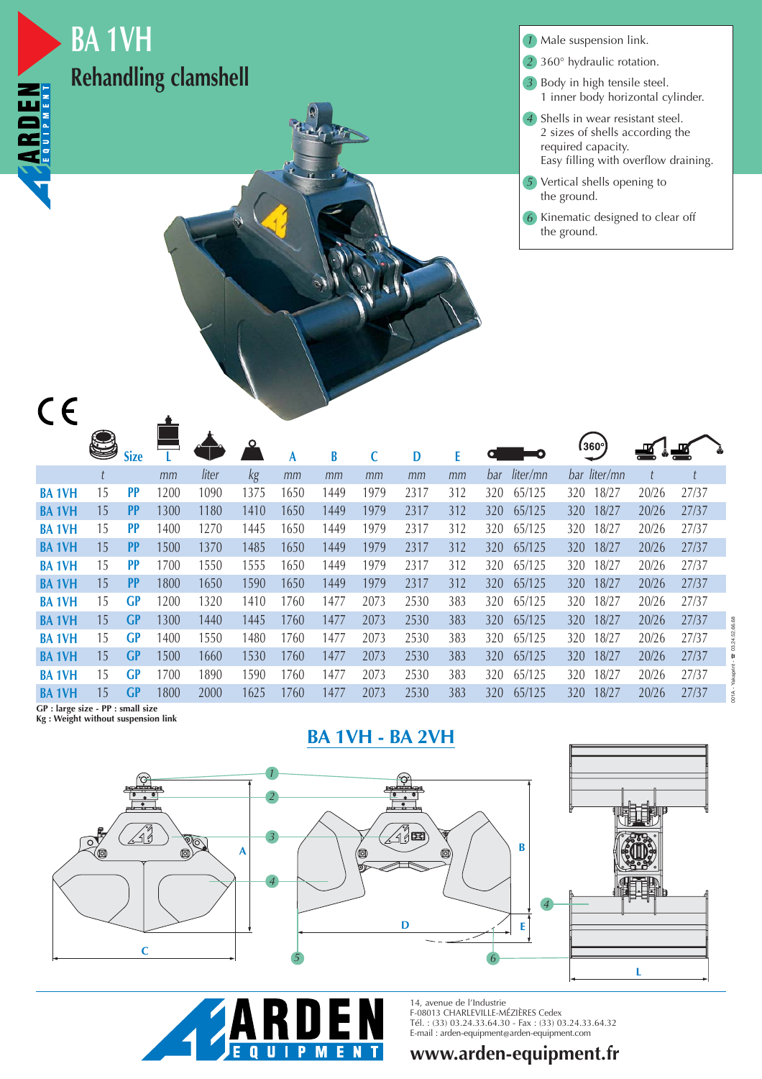

## **BA 1VH Rehandling clamshell**

Male suspension link. *1*

- 360° hydraulic rotation. *2*
- Body in high tensile steel. *3* 1 inner body horizontal cylinder.
- Shells in wear resistant steel. *4* 2 sizes of shells according the required capacity. Easy filling with overflow draining.
- Vertical shells opening to *5* the ground.
- Kinematic designed to clear off *6* the ground.

|              | U  | <b>Size</b> |      |       |      | A    | B    |      | D    |     |                 | (360°)       | ▟     | ▟     |  |
|--------------|----|-------------|------|-------|------|------|------|------|------|-----|-----------------|--------------|-------|-------|--|
|              |    |             | mm   | liter | kg   | mm   | mm   | mm   | mm   | mm  | liter/mn<br>bar | bar liter/mn |       |       |  |
| <b>BA1VH</b> | 15 | PP          | 1200 | 1090  | 1375 | 1650 | 1449 | 1979 | 2317 | 312 | 65/125<br>320   | 18/27<br>320 | 20/26 | 27/37 |  |
| <b>BA1VH</b> | 15 | <b>PP</b>   | 1300 | 1180  | 1410 | 1650 | 1449 | 1979 | 2317 | 312 | 65/125<br>320   | 18/27<br>320 | 20/26 | 27/37 |  |
| <b>BA1VH</b> | 15 | PP          | 1400 | 1270  | 1445 | 1650 | 1449 | 1979 | 2317 | 312 | 65/125<br>320   | 18/27<br>320 | 20/26 | 27/37 |  |
| <b>BA1VH</b> | 15 | PP          | 1500 | 1370  | 1485 | 1650 | 1449 | 1979 | 2317 | 312 | 65/125<br>320   | 18/27<br>320 | 20/26 | 27/37 |  |
| <b>BA1VH</b> | 15 | PP          | 1700 | 1550  | 1555 | 1650 | 1449 | 1979 | 2317 | 312 | 65/125<br>320   | 18/27<br>320 | 20/26 | 27/37 |  |
| <b>BA1VH</b> | 15 | PP          | 1800 | 1650  | 1590 | 1650 | 1449 | 1979 | 2317 | 312 | 65/125<br>320   | 18/27<br>320 | 20/26 | 27/37 |  |
| <b>BA1VH</b> | 15 | <b>GP</b>   | 1200 | 1320  | 1410 | 1760 | 1477 | 2073 | 2530 | 383 | 65/125<br>320   | 18/27<br>320 | 20/26 | 27/37 |  |
| <b>BA1VH</b> | 15 | <b>GP</b>   | 1300 | 1440  | 1445 | 1760 | 1477 | 2073 | 2530 | 383 | 320<br>65/125   | 18/27<br>320 | 20/26 | 27/37 |  |
| <b>BA1VH</b> | 15 | <b>GP</b>   | 1400 | 1550  | 1480 | 1760 | 1477 | 2073 | 2530 | 383 | 65/125<br>320   | 18/27<br>320 | 20/26 | 27/37 |  |
| <b>BA1VH</b> | 15 | GP          | 1500 | 1660  | 1530 | 1760 | 1477 | 2073 | 2530 | 383 | 65/125<br>320   | 18/27<br>320 | 20/26 | 27/37 |  |
| <b>BA1VH</b> | 15 | GP          | 1700 | 1890  | 1590 | 1760 | 1477 | 2073 | 2530 | 383 | 65/125<br>320   | 18/27<br>320 | 20/26 | 27/37 |  |
| <b>BA1VH</b> | 15 | <b>GP</b>   | 1800 | 2000  | 1625 | 1760 | 1477 | 2073 | 2530 | 383 | 65/125<br>320   | 18/27<br>320 | 20/26 | 27/37 |  |

**GP : large size - PP : small size**

**Kg : Weight without suspension link**







14, avenue de l'Industrie F-08013 CHARLEVILLE-MÉZIÈRES Cedex Tél. : (33) 03.24.33.64.30 - Fax : (33) 03.24.33.64.32 E-mail : arden-equipment@arden-equipment.com

**www.arden-equipment.fr**